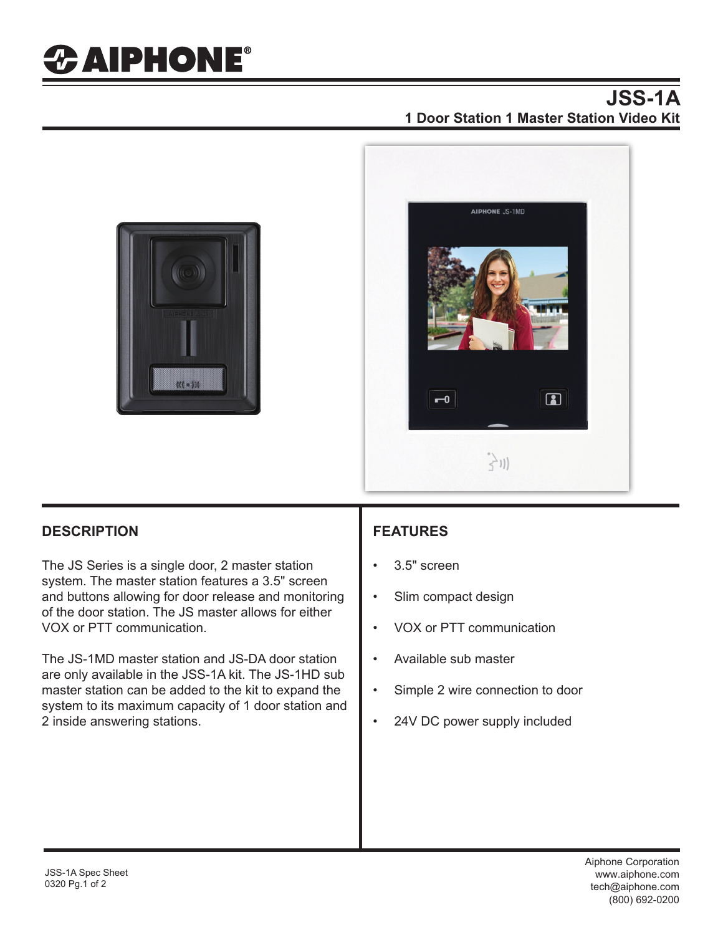# *&* **AIPHONE**®

#### **JSS-1A 1 Door Station 1 Master Station Video Kit**





#### **DESCRIPTION FEATURES**

The JS Series is a single door, 2 master station system. The master station features a 3.5" screen and buttons allowing for door release and monitoring of the door station. The JS master allows for either VOX or PTT communication.

The JS-1MD master station and JS-DA door station are only available in the JSS-1A kit. The JS-1HD sub master station can be added to the kit to expand the system to its maximum capacity of 1 door station and 2 inside answering stations.

- 3.5" screen
- Slim compact design
- VOX or PTT communication
- Available sub master
- Simple 2 wire connection to door
- 24V DC power supply included